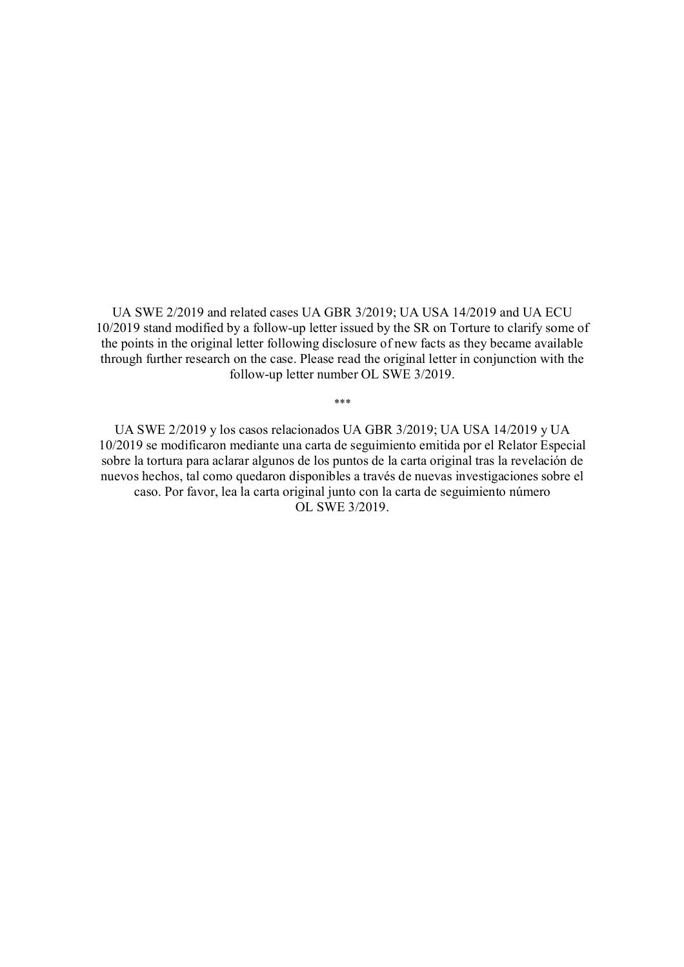UA SWE 2/2019 and related cases UA GBR 3/2019; UA USA 14/2019 and UA ECU 10/2019 stand modified by a follow-up letter issued by the SR on Torture to clarify some of the points in the original letter following disclosure of new facts as they became available through further research on the case. Please read the original letter in conjunction with the follow-up letter number OL SWE 3/2019.

\*\*\*

UA SWE 2/2019 y los casos relacionados UA GBR 3/2019; UA USA 14/2019 y UA 10/2019 se modificaron mediante una carta de seguimiento emitida por el Relator Especial sobre la tortura para aclarar algunos de los puntos de la carta original tras la revelación de nuevos hechos, tal como quedaron disponibles a través de nuevas investigaciones sobre el caso. Por favor, lea la carta original junto con la carta de seguimiento número OL SWE 3/2019.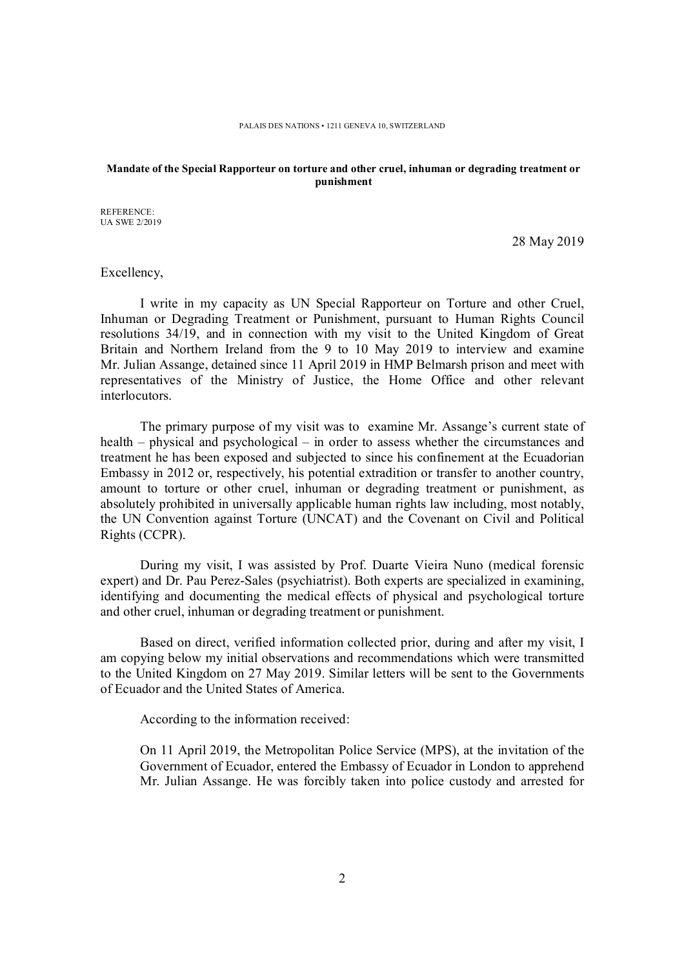#### **Mandate of the Special Rapporteur on torture and other cruel, inhuman or degrading treatment or punishment**

REFERENCE: UA SWE 2/2019

28 May 2019

Excellency,

I write in my capacity as UN Special Rapporteur on Torture and other Cruel, Inhuman or Degrading Treatment or Punishment, pursuant to Human Rights Council resolutions 34/19, and in connection with my visit to the United Kingdom of Great Britain and Northern Ireland from the 9 to 10 May 2019 to interview and examine Mr. Julian Assange, detained since 11 April 2019 in HMP Belmarsh prison and meet with representatives of the Ministry of Justice, the Home Office and other relevant interlocutors.

The primary purpose of my visit was to examine Mr. Assange's current state of health – physical and psychological – in order to assess whether the circumstances and treatment he has been exposed and subjected to since his confinement at the Ecuadorian Embassy in 2012 or, respectively, his potential extradition or transfer to another country, amount to torture or other cruel, inhuman or degrading treatment or punishment, as absolutely prohibited in universally applicable human rights law including, most notably, the UN Convention against Torture (UNCAT) and the Covenant on Civil and Political Rights (CCPR).

During my visit, I was assisted by Prof. Duarte Vieira Nuno (medical forensic expert) and Dr. Pau Perez-Sales (psychiatrist). Both experts are specialized in examining, identifying and documenting the medical effects of physical and psychological torture and other cruel, inhuman or degrading treatment or punishment.

Based on direct, verified information collected prior, during and after my visit, I am copying below my initial observations and recommendations which were transmitted to the United Kingdom on 27 May 2019. Similar letters will be sent to the Governments of Ecuador and the United States of America.

According to the information received:

On 11 April 2019, the Metropolitan Police Service (MPS), at the invitation of the Government of Ecuador, entered the Embassy of Ecuador in London to apprehend Mr. Julian Assange. He was forcibly taken into police custody and arrested for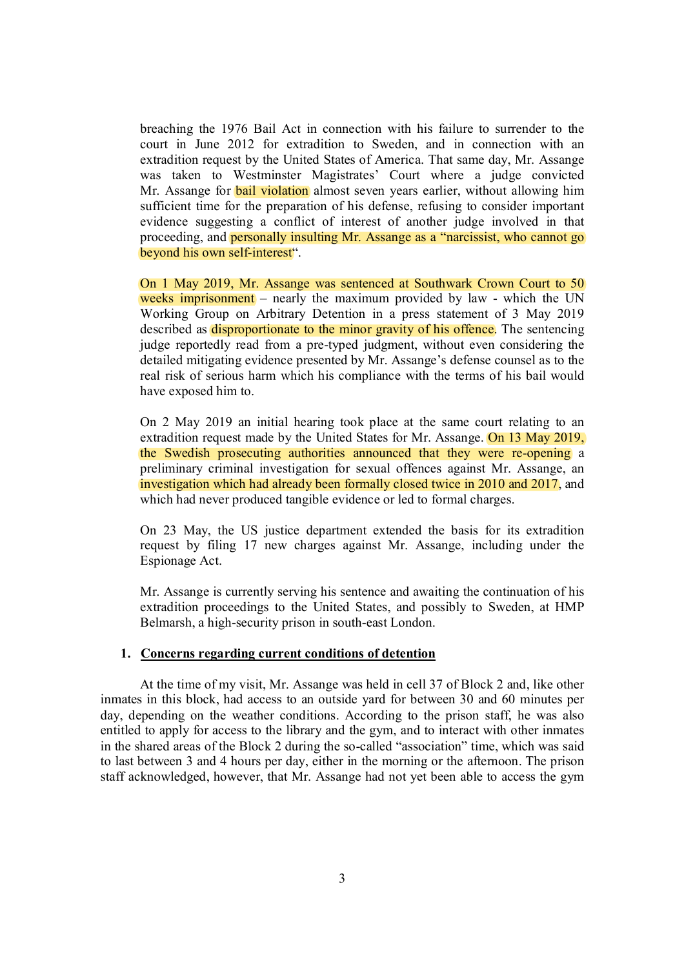breaching the 1976 Bail Act in connection with his failure to surrender to the court in June 2012 for extradition to Sweden, and in connection with an extradition request by the United States of America. That same day, Mr. Assange was taken to Westminster Magistrates' Court where a judge convicted Mr. Assange for **bail violation** almost seven years earlier, without allowing him sufficient time for the preparation of his defense, refusing to consider important evidence suggesting a conflict of interest of another judge involved in that proceeding, and personally insulting Mr. Assange as a "narcissist, who cannot go beyond his own self-interest".

On 1 May 2019, Mr. Assange was sentenced at Southwark Crown Court to 50 weeks imprisonment – nearly the maximum provided by law - which the UN Working Group on Arbitrary Detention in a press statement of 3 May 2019 described as disproportionate to the minor gravity of his offence. The sentencing judge reportedly read from a pre-typed judgment, without even considering the detailed mitigating evidence presented by Mr. Assange's defense counsel as to the real risk of serious harm which his compliance with the terms of his bail would have exposed him to.

On 2 May 2019 an initial hearing took place at the same court relating to an extradition request made by the United States for Mr. Assange. On 13 May 2019, the Swedish prosecuting authorities announced that they were re-opening a preliminary criminal investigation for sexual offences against Mr. Assange, an investigation which had already been formally closed twice in 2010 and 2017, and which had never produced tangible evidence or led to formal charges.

On 23 May, the US justice department extended the basis for its extradition request by filing 17 new charges against Mr. Assange, including under the Espionage Act.

Mr. Assange is currently serving his sentence and awaiting the continuation of his extradition proceedings to the United States, and possibly to Sweden, at HMP Belmarsh, a high-security prison in south-east London.

### **1. Concerns regarding current conditions of detention**

At the time of my visit, Mr. Assange was held in cell 37 of Block 2 and, like other inmates in this block, had access to an outside yard for between 30 and 60 minutes per day, depending on the weather conditions. According to the prison staff, he was also entitled to apply for access to the library and the gym, and to interact with other inmates in the shared areas of the Block 2 during the so-called "association" time, which was said to last between 3 and 4 hours per day, either in the morning or the afternoon. The prison staff acknowledged, however, that Mr. Assange had not yet been able to access the gym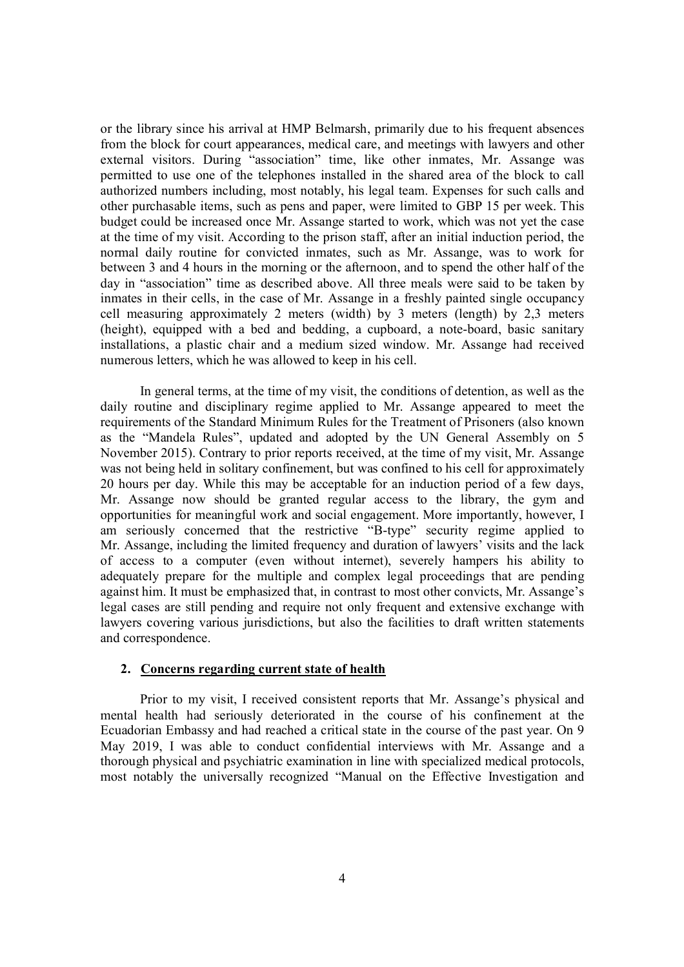or the library since his arrival at HMP Belmarsh, primarily due to his frequent absences from the block for court appearances, medical care, and meetings with lawyers and other external visitors. During "association" time, like other inmates, Mr. Assange was permitted to use one of the telephones installed in the shared area of the block to call authorized numbers including, most notably, his legal team. Expenses for such calls and other purchasable items, such as pens and paper, were limited to GBP 15 per week. This budget could be increased once Mr. Assange started to work, which was not yet the case at the time of my visit. According to the prison staff, after an initial induction period, the normal daily routine for convicted inmates, such as Mr. Assange, was to work for between 3 and 4 hours in the morning or the afternoon, and to spend the other half of the day in "association" time as described above. All three meals were said to be taken by inmates in their cells, in the case of Mr. Assange in a freshly painted single occupancy cell measuring approximately 2 meters (width) by 3 meters (length) by 2,3 meters (height), equipped with a bed and bedding, a cupboard, a note-board, basic sanitary installations, a plastic chair and a medium sized window. Mr. Assange had received numerous letters, which he was allowed to keep in his cell.

In general terms, at the time of my visit, the conditions of detention, as well as the daily routine and disciplinary regime applied to Mr. Assange appeared to meet the requirements of the Standard Minimum Rules for the Treatment of Prisoners (also known as the "Mandela Rules", updated and adopted by the UN General Assembly on 5 November 2015). Contrary to prior reports received, at the time of my visit, Mr. Assange was not being held in solitary confinement, but was confined to his cell for approximately 20 hours per day. While this may be acceptable for an induction period of a few days, Mr. Assange now should be granted regular access to the library, the gym and opportunities for meaningful work and social engagement. More importantly, however, I am seriously concerned that the restrictive "B-type" security regime applied to Mr. Assange, including the limited frequency and duration of lawyers' visits and the lack of access to a computer (even without internet), severely hampers his ability to adequately prepare for the multiple and complex legal proceedings that are pending against him. It must be emphasized that, in contrast to most other convicts, Mr. Assange's legal cases are still pending and require not only frequent and extensive exchange with lawyers covering various jurisdictions, but also the facilities to draft written statements and correspondence.

# **2. Concerns regarding current state of health**

Prior to my visit, I received consistent reports that Mr. Assange's physical and mental health had seriously deteriorated in the course of his confinement at the Ecuadorian Embassy and had reached a critical state in the course of the past year. On 9 May 2019, I was able to conduct confidential interviews with Mr. Assange and a thorough physical and psychiatric examination in line with specialized medical protocols, most notably the universally recognized "Manual on the Effective Investigation and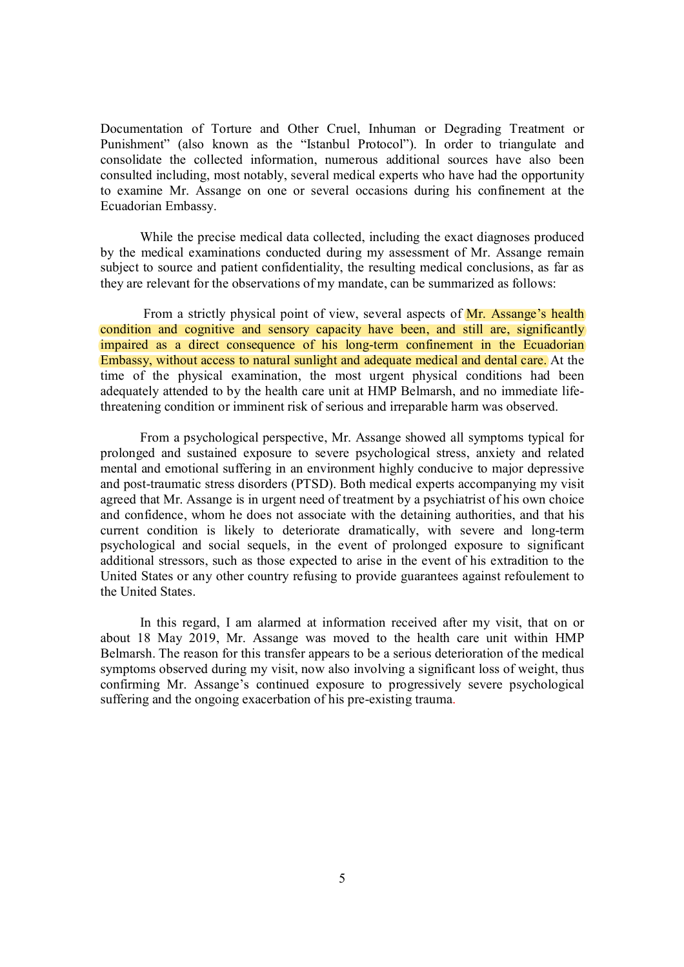Documentation of Torture and Other Cruel, Inhuman or Degrading Treatment or Punishment" (also known as the "Istanbul Protocol"). In order to triangulate and consolidate the collected information, numerous additional sources have also been consulted including, most notably, several medical experts who have had the opportunity to examine Mr. Assange on one or several occasions during his confinement at the Ecuadorian Embassy.

While the precise medical data collected, including the exact diagnoses produced by the medical examinations conducted during my assessment of Mr. Assange remain subject to source and patient confidentiality, the resulting medical conclusions, as far as they are relevant for the observations of my mandate, can be summarized as follows:

From a strictly physical point of view, several aspects of Mr. Assange's health condition and cognitive and sensory capacity have been, and still are, significantly impaired as a direct consequence of his long-term confinement in the Ecuadorian Embassy, without access to natural sunlight and adequate medical and dental care. At the time of the physical examination, the most urgent physical conditions had been adequately attended to by the health care unit at HMP Belmarsh, and no immediate lifethreatening condition or imminent risk of serious and irreparable harm was observed.

From a psychological perspective, Mr. Assange showed all symptoms typical for prolonged and sustained exposure to severe psychological stress, anxiety and related mental and emotional suffering in an environment highly conducive to major depressive and post-traumatic stress disorders (PTSD). Both medical experts accompanying my visit agreed that Mr. Assange is in urgent need of treatment by a psychiatrist of his own choice and confidence, whom he does not associate with the detaining authorities, and that his current condition is likely to deteriorate dramatically, with severe and long-term psychological and social sequels, in the event of prolonged exposure to significant additional stressors, such as those expected to arise in the event of his extradition to the United States or any other country refusing to provide guarantees against refoulement to the United States.

In this regard, I am alarmed at information received after my visit, that on or about 18 May 2019, Mr. Assange was moved to the health care unit within HMP Belmarsh. The reason for this transfer appears to be a serious deterioration of the medical symptoms observed during my visit, now also involving a significant loss of weight, thus confirming Mr. Assange's continued exposure to progressively severe psychological suffering and the ongoing exacerbation of his pre-existing trauma.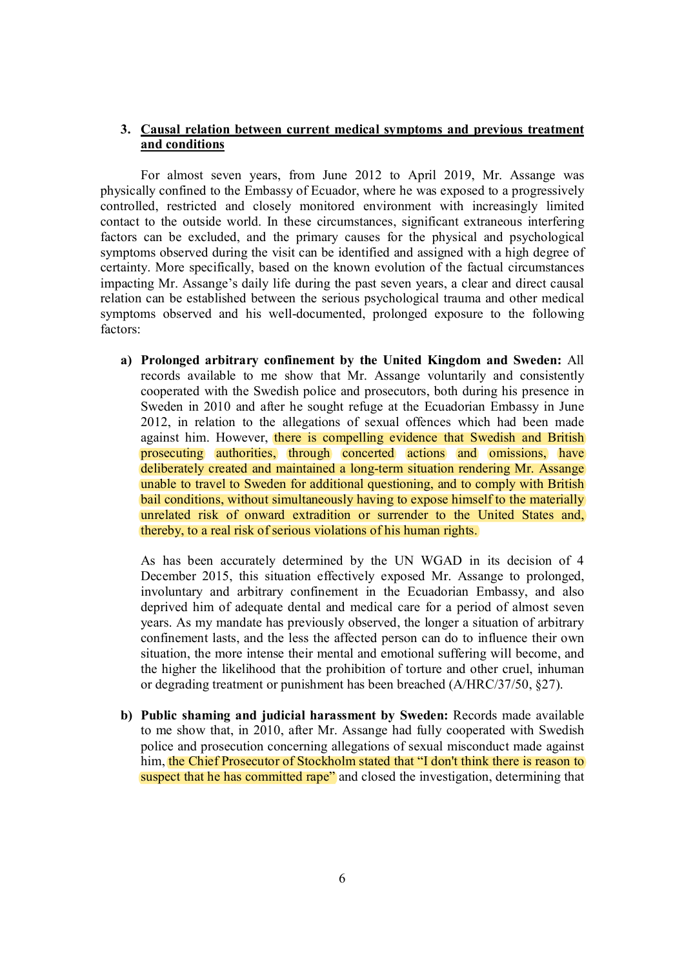# **3. Causal relation between current medical symptoms and previous treatment and conditions**

For almost seven years, from June 2012 to April 2019, Mr. Assange was physically confined to the Embassy of Ecuador, where he was exposed to a progressively controlled, restricted and closely monitored environment with increasingly limited contact to the outside world. In these circumstances, significant extraneous interfering factors can be excluded, and the primary causes for the physical and psychological symptoms observed during the visit can be identified and assigned with a high degree of certainty. More specifically, based on the known evolution of the factual circumstances impacting Mr. Assange's daily life during the past seven years, a clear and direct causal relation can be established between the serious psychological trauma and other medical symptoms observed and his well-documented, prolonged exposure to the following factors:

**a) Prolonged arbitrary confinement by the United Kingdom and Sweden:** All records available to me show that Mr. Assange voluntarily and consistently cooperated with the Swedish police and prosecutors, both during his presence in Sweden in 2010 and after he sought refuge at the Ecuadorian Embassy in June 2012, in relation to the allegations of sexual offences which had been made against him. However, there is compelling evidence that Swedish and British prosecuting authorities, through concerted actions and omissions, have deliberately created and maintained a long-term situation rendering Mr. Assange unable to travel to Sweden for additional questioning, and to comply with British bail conditions, without simultaneously having to expose himself to the materially unrelated risk of onward extradition or surrender to the United States and, thereby, to a real risk of serious violations of his human rights.

As has been accurately determined by the UN WGAD in its decision of 4 December 2015, this situation effectively exposed Mr. Assange to prolonged, involuntary and arbitrary confinement in the Ecuadorian Embassy, and also deprived him of adequate dental and medical care for a period of almost seven years. As my mandate has previously observed, the longer a situation of arbitrary confinement lasts, and the less the affected person can do to influence their own situation, the more intense their mental and emotional suffering will become, and the higher the likelihood that the prohibition of torture and other cruel, inhuman or degrading treatment or punishment has been breached (A/HRC/37/50, §27).

**b) Public shaming and judicial harassment by Sweden:** Records made available to me show that, in 2010, after Mr. Assange had fully cooperated with Swedish police and prosecution concerning allegations of sexual misconduct made against him, the Chief Prosecutor of Stockholm stated that "I don't think there is reason to suspect that he has committed rape" and closed the investigation, determining that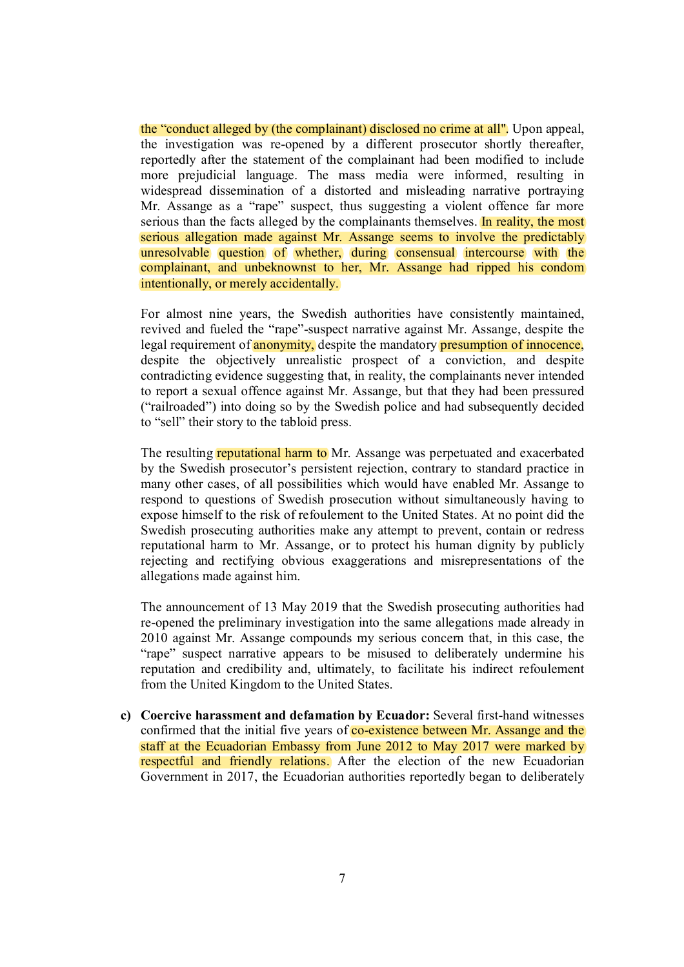the "conduct alleged by (the complainant) disclosed no crime at all". Upon appeal, the investigation was re-opened by a different prosecutor shortly thereafter, reportedly after the statement of the complainant had been modified to include more prejudicial language. The mass media were informed, resulting in widespread dissemination of a distorted and misleading narrative portraying Mr. Assange as a "rape" suspect, thus suggesting a violent offence far more serious than the facts alleged by the complainants themselves. In reality, the most serious allegation made against Mr. Assange seems to involve the predictably unresolvable question of whether, during consensual intercourse with the complainant, and unbeknownst to her, Mr. Assange had ripped his condom intentionally, or merely accidentally.

For almost nine years, the Swedish authorities have consistently maintained, revived and fueled the "rape"-suspect narrative against Mr. Assange, despite the legal requirement of **anonymity**, despite the mandatory **presumption of innocence**, despite the objectively unrealistic prospect of a conviction, and despite contradicting evidence suggesting that, in reality, the complainants never intended to report a sexual offence against Mr. Assange, but that they had been pressured ("railroaded") into doing so by the Swedish police and had subsequently decided to "sell" their story to the tabloid press.

The resulting reputational harm to Mr. Assange was perpetuated and exacerbated by the Swedish prosecutor's persistent rejection, contrary to standard practice in many other cases, of all possibilities which would have enabled Mr. Assange to respond to questions of Swedish prosecution without simultaneously having to expose himself to the risk of refoulement to the United States. At no point did the Swedish prosecuting authorities make any attempt to prevent, contain or redress reputational harm to Mr. Assange, or to protect his human dignity by publicly rejecting and rectifying obvious exaggerations and misrepresentations of the allegations made against him.

The announcement of 13 May 2019 that the Swedish prosecuting authorities had re-opened the preliminary investigation into the same allegations made already in 2010 against Mr. Assange compounds my serious concern that, in this case, the "rape" suspect narrative appears to be misused to deliberately undermine his reputation and credibility and, ultimately, to facilitate his indirect refoulement from the United Kingdom to the United States.

**c) Coercive harassment and defamation by Ecuador:** Several first-hand witnesses confirmed that the initial five years of **co-existence between Mr. Assange and the** staff at the Ecuadorian Embassy from June 2012 to May 2017 were marked by respectful and friendly relations. After the election of the new Ecuadorian Government in 2017, the Ecuadorian authorities reportedly began to deliberately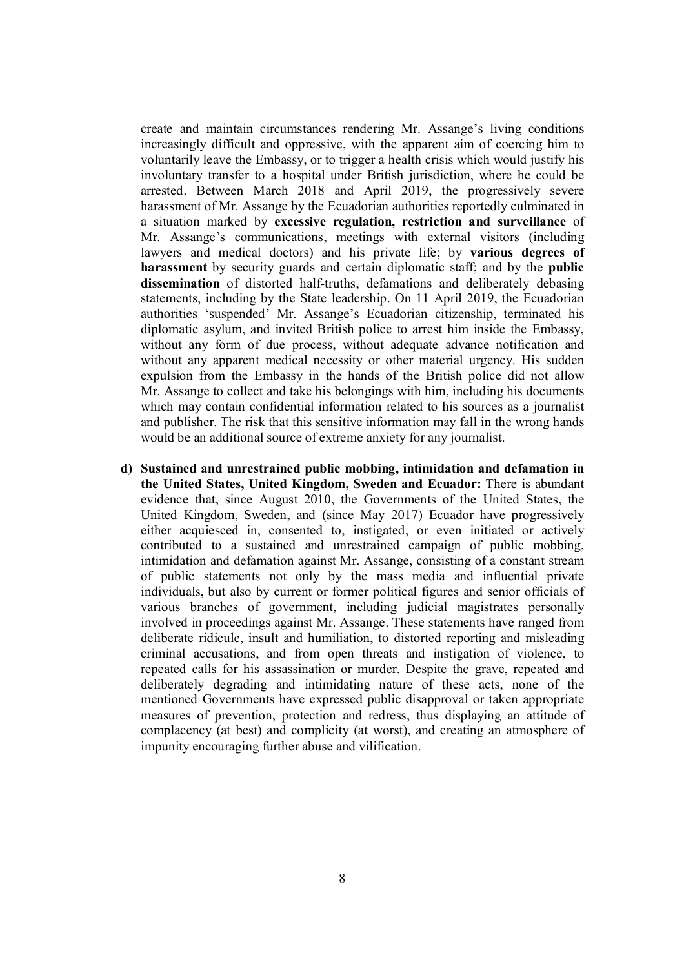create and maintain circumstances rendering Mr. Assange's living conditions increasingly difficult and oppressive, with the apparent aim of coercing him to voluntarily leave the Embassy, or to trigger a health crisis which would justify his involuntary transfer to a hospital under British jurisdiction, where he could be arrested. Between March 2018 and April 2019, the progressively severe harassment of Mr. Assange by the Ecuadorian authorities reportedly culminated in a situation marked by **excessive regulation, restriction and surveillance** of Mr. Assange's communications, meetings with external visitors (including lawyers and medical doctors) and his private life; by **various degrees of harassment** by security guards and certain diplomatic staff; and by the **public dissemination** of distorted half-truths, defamations and deliberately debasing statements, including by the State leadership. On 11 April 2019, the Ecuadorian authorities 'suspended' Mr. Assange's Ecuadorian citizenship, terminated his diplomatic asylum, and invited British police to arrest him inside the Embassy, without any form of due process, without adequate advance notification and without any apparent medical necessity or other material urgency. His sudden expulsion from the Embassy in the hands of the British police did not allow Mr. Assange to collect and take his belongings with him, including his documents which may contain confidential information related to his sources as a journalist and publisher. The risk that this sensitive information may fall in the wrong hands would be an additional source of extreme anxiety for any journalist.

**d) Sustained and unrestrained public mobbing, intimidation and defamation in the United States, United Kingdom, Sweden and Ecuador:** There is abundant evidence that, since August 2010, the Governments of the United States, the United Kingdom, Sweden, and (since May 2017) Ecuador have progressively either acquiesced in, consented to, instigated, or even initiated or actively contributed to a sustained and unrestrained campaign of public mobbing, intimidation and defamation against Mr. Assange, consisting of a constant stream of public statements not only by the mass media and influential private individuals, but also by current or former political figures and senior officials of various branches of government, including judicial magistrates personally involved in proceedings against Mr. Assange. These statements have ranged from deliberate ridicule, insult and humiliation, to distorted reporting and misleading criminal accusations, and from open threats and instigation of violence, to repeated calls for his assassination or murder. Despite the grave, repeated and deliberately degrading and intimidating nature of these acts, none of the mentioned Governments have expressed public disapproval or taken appropriate measures of prevention, protection and redress, thus displaying an attitude of complacency (at best) and complicity (at worst), and creating an atmosphere of impunity encouraging further abuse and vilification.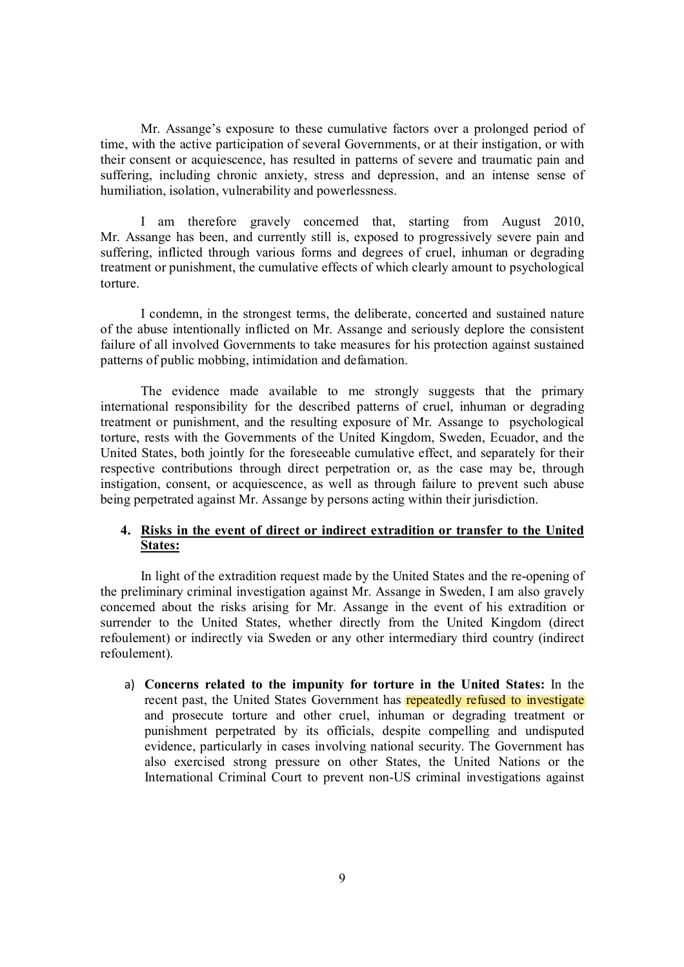Mr. Assange's exposure to these cumulative factors over a prolonged period of time, with the active participation of several Governments, or at their instigation, or with their consent or acquiescence, has resulted in patterns of severe and traumatic pain and suffering, including chronic anxiety, stress and depression, and an intense sense of humiliation, isolation, vulnerability and powerlessness.

I am therefore gravely concerned that, starting from August 2010, Mr. Assange has been, and currently still is, exposed to progressively severe pain and suffering, inflicted through various forms and degrees of cruel, inhuman or degrading treatment or punishment, the cumulative effects of which clearly amount to psychological torture.

I condemn, in the strongest terms, the deliberate, concerted and sustained nature of the abuse intentionally inflicted on Mr. Assange and seriously deplore the consistent failure of all involved Governments to take measures for his protection against sustained patterns of public mobbing, intimidation and defamation.

The evidence made available to me strongly suggests that the primary international responsibility for the described patterns of cruel, inhuman or degrading treatment or punishment, and the resulting exposure of Mr. Assange to psychological torture, rests with the Governments of the United Kingdom, Sweden, Ecuador, and the United States, both jointly for the foreseeable cumulative effect, and separately for their respective contributions through direct perpetration or, as the case may be, through instigation, consent, or acquiescence, as well as through failure to prevent such abuse being perpetrated against Mr. Assange by persons acting within their jurisdiction.

# **4. Risks in the event of direct or indirect extradition or transfer to the United States:**

In light of the extradition request made by the United States and the re-opening of the preliminary criminal investigation against Mr. Assange in Sweden, I am also gravely concerned about the risks arising for Mr. Assange in the event of his extradition or surrender to the United States, whether directly from the United Kingdom (direct refoulement) or indirectly via Sweden or any other intermediary third country (indirect refoulement).

a) **Concerns related to the impunity for torture in the United States:** In the recent past, the United States Government has repeatedly refused to investigate and prosecute torture and other cruel, inhuman or degrading treatment or punishment perpetrated by its officials, despite compelling and undisputed evidence, particularly in cases involving national security. The Government has also exercised strong pressure on other States, the United Nations or the International Criminal Court to prevent non-US criminal investigations against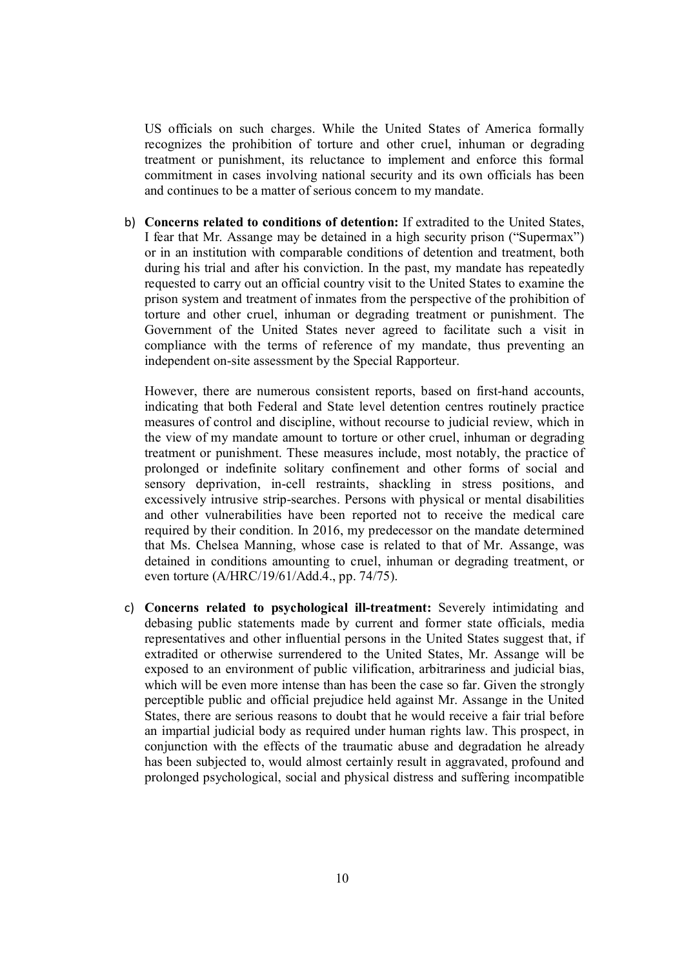US officials on such charges. While the United States of America formally recognizes the prohibition of torture and other cruel, inhuman or degrading treatment or punishment, its reluctance to implement and enforce this formal commitment in cases involving national security and its own officials has been and continues to be a matter of serious concern to my mandate.

b) **Concerns related to conditions of detention:** If extradited to the United States, I fear that Mr. Assange may be detained in a high security prison ("Supermax") or in an institution with comparable conditions of detention and treatment, both during his trial and after his conviction. In the past, my mandate has repeatedly requested to carry out an official country visit to the United States to examine the prison system and treatment of inmates from the perspective of the prohibition of torture and other cruel, inhuman or degrading treatment or punishment. The Government of the United States never agreed to facilitate such a visit in compliance with the terms of reference of my mandate, thus preventing an independent on-site assessment by the Special Rapporteur.

However, there are numerous consistent reports, based on first-hand accounts, indicating that both Federal and State level detention centres routinely practice measures of control and discipline, without recourse to judicial review, which in the view of my mandate amount to torture or other cruel, inhuman or degrading treatment or punishment. These measures include, most notably, the practice of prolonged or indefinite solitary confinement and other forms of social and sensory deprivation, in-cell restraints, shackling in stress positions, and excessively intrusive strip-searches. Persons with physical or mental disabilities and other vulnerabilities have been reported not to receive the medical care required by their condition. In 2016, my predecessor on the mandate determined that Ms. Chelsea Manning, whose case is related to that of Mr. Assange, was detained in conditions amounting to cruel, inhuman or degrading treatment, or even torture (A/HRC/19/61/Add.4., pp. 74/75).

c) **Concerns related to psychological ill-treatment:** Severely intimidating and debasing public statements made by current and former state officials, media representatives and other influential persons in the United States suggest that, if extradited or otherwise surrendered to the United States, Mr. Assange will be exposed to an environment of public vilification, arbitrariness and judicial bias, which will be even more intense than has been the case so far. Given the strongly perceptible public and official prejudice held against Mr. Assange in the United States, there are serious reasons to doubt that he would receive a fair trial before an impartial judicial body as required under human rights law. This prospect, in conjunction with the effects of the traumatic abuse and degradation he already has been subjected to, would almost certainly result in aggravated, profound and prolonged psychological, social and physical distress and suffering incompatible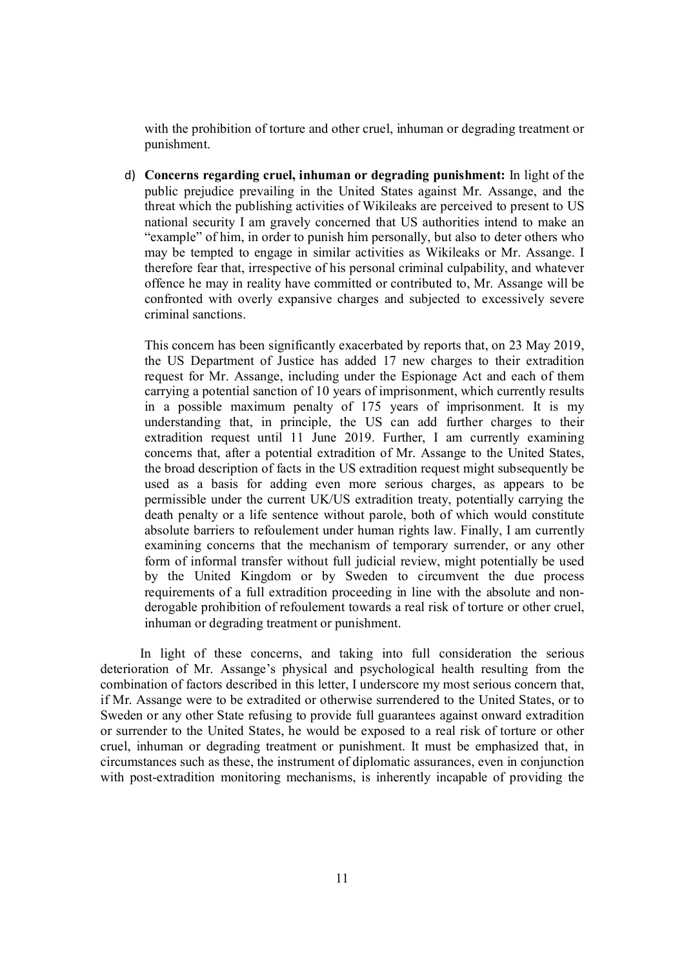with the prohibition of torture and other cruel, inhuman or degrading treatment or punishment.

d) **Concerns regarding cruel, inhuman or degrading punishment:** In light of the public prejudice prevailing in the United States against Mr. Assange, and the threat which the publishing activities of Wikileaks are perceived to present to US national security I am gravely concerned that US authorities intend to make an "example" of him, in order to punish him personally, but also to deter others who may be tempted to engage in similar activities as Wikileaks or Mr. Assange. I therefore fear that, irrespective of his personal criminal culpability, and whatever offence he may in reality have committed or contributed to, Mr. Assange will be confronted with overly expansive charges and subjected to excessively severe criminal sanctions.

This concern has been significantly exacerbated by reports that, on 23 May 2019, the US Department of Justice has added 17 new charges to their extradition request for Mr. Assange, including under the Espionage Act and each of them carrying a potential sanction of 10 years of imprisonment, which currently results in a possible maximum penalty of 175 years of imprisonment. It is my understanding that, in principle, the US can add further charges to their extradition request until 11 June 2019. Further, I am currently examining concerns that, after a potential extradition of Mr. Assange to the United States, the broad description of facts in the US extradition request might subsequently be used as a basis for adding even more serious charges, as appears to be permissible under the current UK/US extradition treaty, potentially carrying the death penalty or a life sentence without parole, both of which would constitute absolute barriers to refoulement under human rights law. Finally, I am currently examining concerns that the mechanism of temporary surrender, or any other form of informal transfer without full judicial review, might potentially be used by the United Kingdom or by Sweden to circumvent the due process requirements of a full extradition proceeding in line with the absolute and nonderogable prohibition of refoulement towards a real risk of torture or other cruel, inhuman or degrading treatment or punishment.

In light of these concerns, and taking into full consideration the serious deterioration of Mr. Assange's physical and psychological health resulting from the combination of factors described in this letter, I underscore my most serious concern that, if Mr. Assange were to be extradited or otherwise surrendered to the United States, or to Sweden or any other State refusing to provide full guarantees against onward extradition or surrender to the United States, he would be exposed to a real risk of torture or other cruel, inhuman or degrading treatment or punishment. It must be emphasized that, in circumstances such as these, the instrument of diplomatic assurances, even in conjunction with post-extradition monitoring mechanisms, is inherently incapable of providing the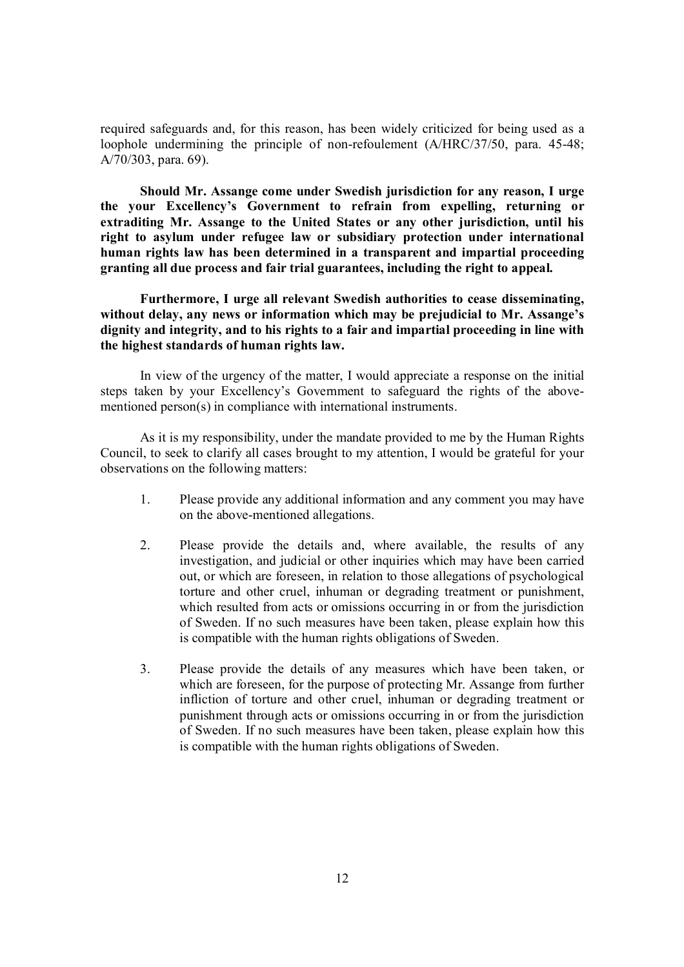required safeguards and, for this reason, has been widely criticized for being used as a loophole undermining the principle of non-refoulement (A/HRC/37/50, para. 45-48; A/70/303, para. 69).

**Should Mr. Assange come under Swedish jurisdiction for any reason, I urge the your Excellency's Government to refrain from expelling, returning or extraditing Mr. Assange to the United States or any other jurisdiction, until his right to asylum under refugee law or subsidiary protection under international human rights law has been determined in a transparent and impartial proceeding granting all due process and fair trial guarantees, including the right to appeal.** 

**Furthermore, I urge all relevant Swedish authorities to cease disseminating, without delay, any news or information which may be prejudicial to Mr. Assange's dignity and integrity, and to his rights to a fair and impartial proceeding in line with the highest standards of human rights law.** 

In view of the urgency of the matter, I would appreciate a response on the initial steps taken by your Excellency's Government to safeguard the rights of the abovementioned person(s) in compliance with international instruments.

As it is my responsibility, under the mandate provided to me by the Human Rights Council, to seek to clarify all cases brought to my attention, I would be grateful for your observations on the following matters:

- 1. Please provide any additional information and any comment you may have on the above-mentioned allegations.
- 2. Please provide the details and, where available, the results of any investigation, and judicial or other inquiries which may have been carried out, or which are foreseen, in relation to those allegations of psychological torture and other cruel, inhuman or degrading treatment or punishment, which resulted from acts or omissions occurring in or from the jurisdiction of Sweden. If no such measures have been taken, please explain how this is compatible with the human rights obligations of Sweden.
- 3. Please provide the details of any measures which have been taken, or which are foreseen, for the purpose of protecting Mr. Assange from further infliction of torture and other cruel, inhuman or degrading treatment or punishment through acts or omissions occurring in or from the jurisdiction of Sweden. If no such measures have been taken, please explain how this is compatible with the human rights obligations of Sweden.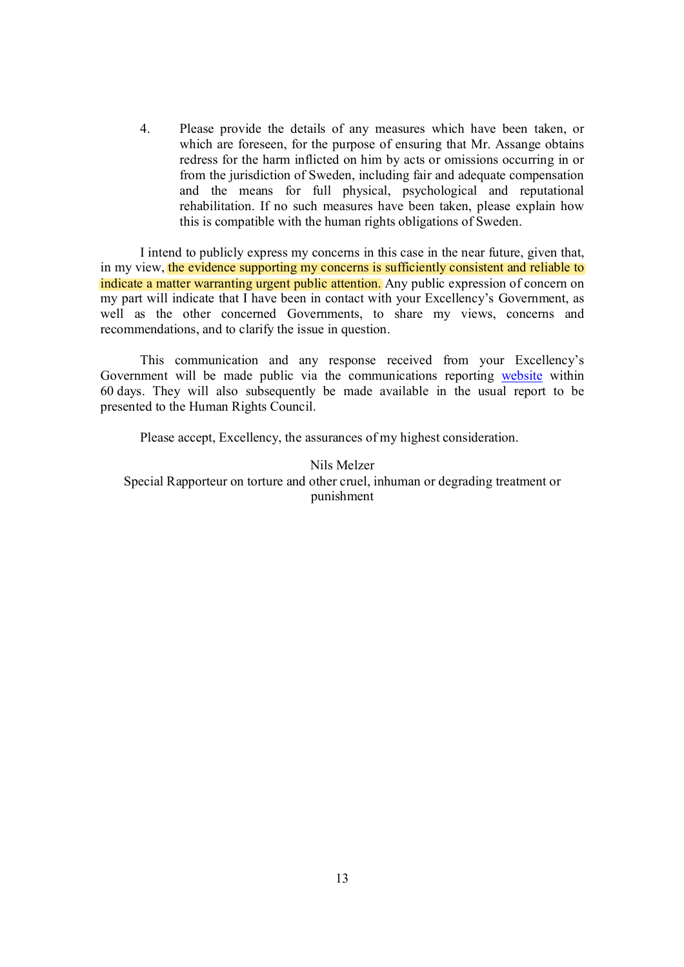4. Please provide the details of any measures which have been taken, or which are foreseen, for the purpose of ensuring that Mr. Assange obtains redress for the harm inflicted on him by acts or omissions occurring in or from the jurisdiction of Sweden, including fair and adequate compensation and the means for full physical, psychological and reputational rehabilitation. If no such measures have been taken, please explain how this is compatible with the human rights obligations of Sweden.

I intend to publicly express my concerns in this case in the near future, given that, in my view, the evidence supporting my concerns is sufficiently consistent and reliable to indicate a matter warranting urgent public attention. Any public expression of concern on my part will indicate that I have been in contact with your Excellency's Government, as well as the other concerned Governments, to share my views, concerns and recommendations, and to clarify the issue in question.

This communication and any response received from your Excellency's Government will be made public via the communications reporting website within 60 days. They will also subsequently be made available in the usual report to be presented to the Human Rights Council.

Please accept, Excellency, the assurances of my highest consideration.

Nils Melzer Special Rapporteur on torture and other cruel, inhuman or degrading treatment or punishment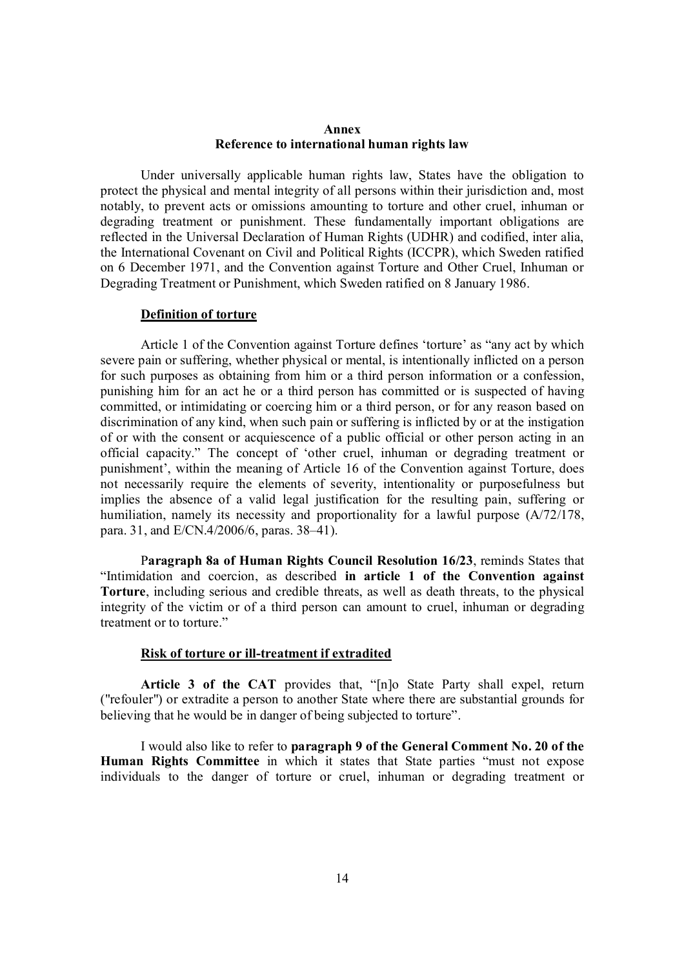### **Annex Reference to international human rights law**

Under universally applicable human rights law, States have the obligation to protect the physical and mental integrity of all persons within their jurisdiction and, most notably, to prevent acts or omissions amounting to torture and other cruel, inhuman or degrading treatment or punishment. These fundamentally important obligations are reflected in the Universal Declaration of Human Rights (UDHR) and codified, inter alia, the International Covenant on Civil and Political Rights (ICCPR), which Sweden ratified on 6 December 1971, and the Convention against Torture and Other Cruel, Inhuman or Degrading Treatment or Punishment, which Sweden ratified on 8 January 1986.

### **Definition of torture**

Article 1 of the Convention against Torture defines 'torture' as "any act by which severe pain or suffering, whether physical or mental, is intentionally inflicted on a person for such purposes as obtaining from him or a third person information or a confession, punishing him for an act he or a third person has committed or is suspected of having committed, or intimidating or coercing him or a third person, or for any reason based on discrimination of any kind, when such pain or suffering is inflicted by or at the instigation of or with the consent or acquiescence of a public official or other person acting in an official capacity." The concept of 'other cruel, inhuman or degrading treatment or punishment', within the meaning of Article 16 of the Convention against Torture, does not necessarily require the elements of severity, intentionality or purposefulness but implies the absence of a valid legal justification for the resulting pain, suffering or humiliation, namely its necessity and proportionality for a lawful purpose  $(A/72/178,$ para. 31, and E/CN.4/2006/6, paras. 38–41).

Paragraph 8a of Human Rights Council Resolution 16/23, reminds States that "Intimidation and coercion, as described **in article 1 of the Convention against Torture**, including serious and credible threats, as well as death threats, to the physical integrity of the victim or of a third person can amount to cruel, inhuman or degrading treatment or to torture."

### **Risk of torture or ill-treatment if extradited**

**Article 3 of the CAT** provides that, "[n]o State Party shall expel, return ("refouler") or extradite a person to another State where there are substantial grounds for believing that he would be in danger of being subjected to torture".

I would also like to refer to **paragraph 9 of the General Comment No. 20 of the Human Rights Committee** in which it states that State parties "must not expose individuals to the danger of torture or cruel, inhuman or degrading treatment or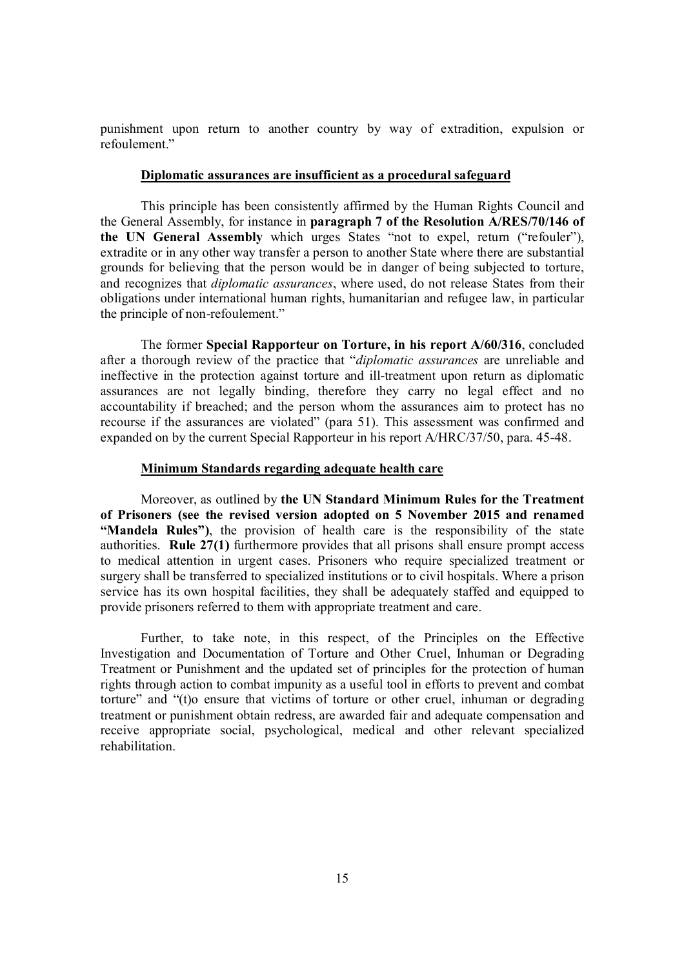punishment upon return to another country by way of extradition, expulsion or refoulement."

### **Diplomatic assurances are insufficient as a procedural safeguard**

This principle has been consistently affirmed by the Human Rights Council and the General Assembly, for instance in **paragraph 7 of the Resolution A/RES/70/146 of the UN General Assembly** which urges States "not to expel, return ("refouler"), extradite or in any other way transfer a person to another State where there are substantial grounds for believing that the person would be in danger of being subjected to torture, and recognizes that *diplomatic assurances*, where used, do not release States from their obligations under international human rights, humanitarian and refugee law, in particular the principle of non-refoulement."

The former **Special Rapporteur on Torture, in his report A/60/316**, concluded after a thorough review of the practice that "*diplomatic assurances* are unreliable and ineffective in the protection against torture and ill-treatment upon return as diplomatic assurances are not legally binding, therefore they carry no legal effect and no accountability if breached; and the person whom the assurances aim to protect has no recourse if the assurances are violated" (para 51). This assessment was confirmed and expanded on by the current Special Rapporteur in his report A/HRC/37/50, para. 45-48.

#### **Minimum Standards regarding adequate health care**

Moreover, as outlined by **the UN Standard Minimum Rules for the Treatment of Prisoners (see the revised version adopted on 5 November 2015 and renamed "Mandela Rules")**, the provision of health care is the responsibility of the state authorities. **Rule 27(1)** furthermore provides that all prisons shall ensure prompt access to medical attention in urgent cases. Prisoners who require specialized treatment or surgery shall be transferred to specialized institutions or to civil hospitals. Where a prison service has its own hospital facilities, they shall be adequately staffed and equipped to provide prisoners referred to them with appropriate treatment and care.

Further, to take note, in this respect, of the Principles on the Effective Investigation and Documentation of Torture and Other Cruel, Inhuman or Degrading Treatment or Punishment and the updated set of principles for the protection of human rights through action to combat impunity as a useful tool in efforts to prevent and combat torture" and "(t)o ensure that victims of torture or other cruel, inhuman or degrading treatment or punishment obtain redress, are awarded fair and adequate compensation and receive appropriate social, psychological, medical and other relevant specialized rehabilitation.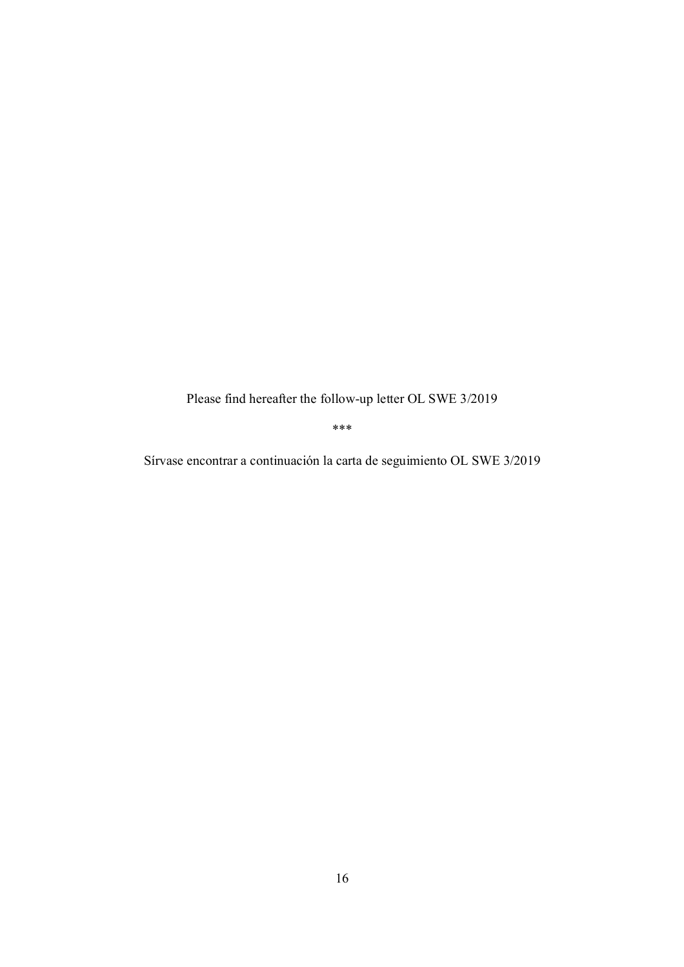Please find hereafter the follow-up letter OL SWE 3/2019

\*\*\*

Sírvase encontrar a continuación la carta de seguimiento OL SWE 3/2019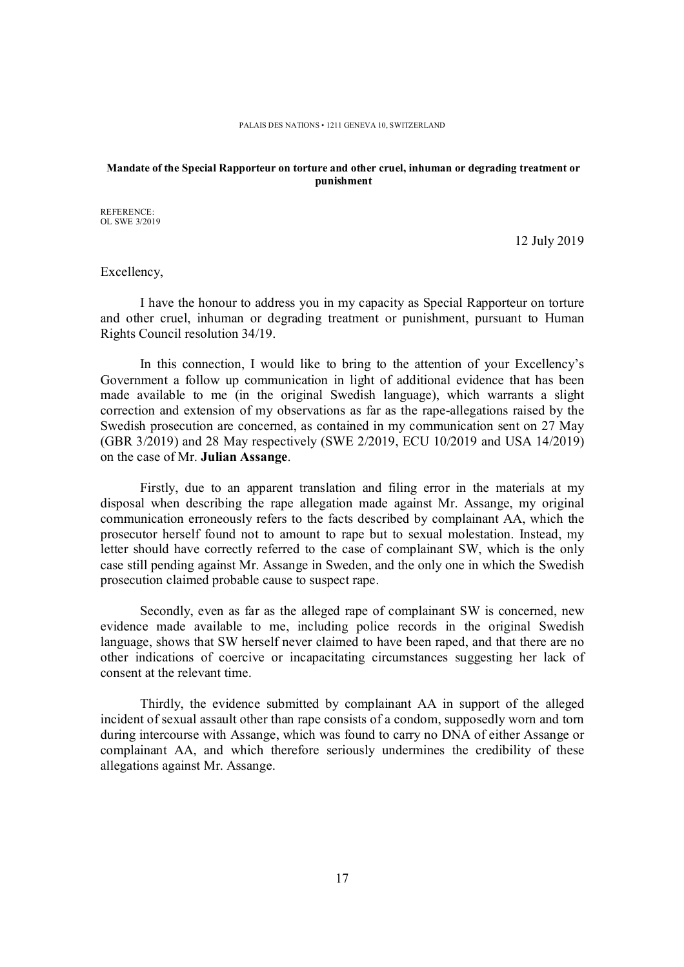#### **Mandate of the Special Rapporteur on torture and other cruel, inhuman or degrading treatment or punishment**

REFERENCE: OL SWE 3/2019

12 July 2019

Excellency,

I have the honour to address you in my capacity as Special Rapporteur on torture and other cruel, inhuman or degrading treatment or punishment, pursuant to Human Rights Council resolution 34/19.

In this connection, I would like to bring to the attention of your Excellency's Government a follow up communication in light of additional evidence that has been made available to me (in the original Swedish language), which warrants a slight correction and extension of my observations as far as the rape-allegations raised by the Swedish prosecution are concerned, as contained in my communication sent on 27 May (GBR 3/2019) and 28 May respectively (SWE 2/2019, ECU 10/2019 and USA 14/2019) on the case of Mr. **Julian Assange**.

Firstly, due to an apparent translation and filing error in the materials at my disposal when describing the rape allegation made against Mr. Assange, my original communication erroneously refers to the facts described by complainant AA, which the prosecutor herself found not to amount to rape but to sexual molestation. Instead, my letter should have correctly referred to the case of complainant SW, which is the only case still pending against Mr. Assange in Sweden, and the only one in which the Swedish prosecution claimed probable cause to suspect rape.

Secondly, even as far as the alleged rape of complainant SW is concerned, new evidence made available to me, including police records in the original Swedish language, shows that SW herself never claimed to have been raped, and that there are no other indications of coercive or incapacitating circumstances suggesting her lack of consent at the relevant time.

Thirdly, the evidence submitted by complainant AA in support of the alleged incident of sexual assault other than rape consists of a condom, supposedly worn and torn during intercourse with Assange, which was found to carry no DNA of either Assange or complainant AA, and which therefore seriously undermines the credibility of these allegations against Mr. Assange.